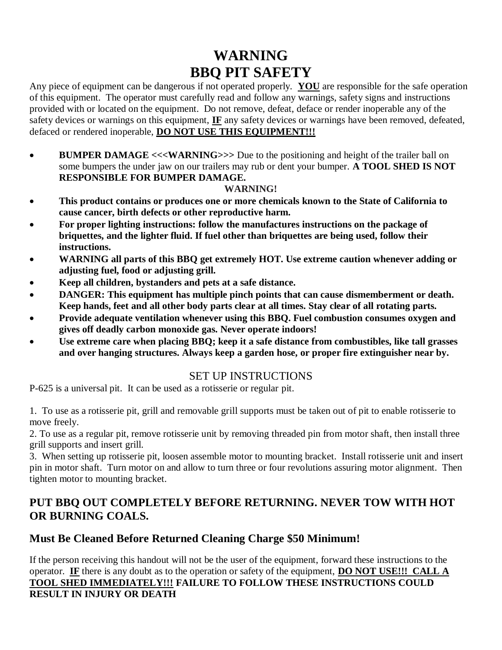# **WARNING BBQ PIT SAFETY**

Any piece of equipment can be dangerous if not operated properly. **YOU** are responsible for the safe operation of this equipment. The operator must carefully read and follow any warnings, safety signs and instructions provided with or located on the equipment. Do not remove, defeat, deface or render inoperable any of the safety devices or warnings on this equipment, **IF** any safety devices or warnings have been removed, defeated, defaced or rendered inoperable, **DO NOT USE THIS EQUIPMENT!!!**

• BUMPER DAMAGE <<<WARNING>>> Due to the positioning and height of the trailer ball on some bumpers the under jaw on our trailers may rub or dent your bumper. **A TOOL SHED IS NOT RESPONSIBLE FOR BUMPER DAMAGE.** 

#### **WARNING!**

- **This product contains or produces one or more chemicals known to the State of California to cause cancer, birth defects or other reproductive harm.**
- **For proper lighting instructions: follow the manufactures instructions on the package of briquettes, and the lighter fluid. If fuel other than briquettes are being used, follow their instructions.**
- **WARNING all parts of this BBQ get extremely HOT. Use extreme caution whenever adding or adjusting fuel, food or adjusting grill.**
- **Keep all children, bystanders and pets at a safe distance.**
- **DANGER: This equipment has multiple pinch points that can cause dismemberment or death. Keep hands, feet and all other body parts clear at all times. Stay clear of all rotating parts.**
- **Provide adequate ventilation whenever using this BBQ. Fuel combustion consumes oxygen and gives off deadly carbon monoxide gas. Never operate indoors!**
- **Use extreme care when placing BBQ; keep it a safe distance from combustibles, like tall grasses and over hanging structures. Always keep a garden hose, or proper fire extinguisher near by.**

### SET UP INSTRUCTIONS

P-625 is a universal pit. It can be used as a rotisserie or regular pit.

1. To use as a rotisserie pit, grill and removable grill supports must be taken out of pit to enable rotisserie to move freely.

2. To use as a regular pit, remove rotisserie unit by removing threaded pin from motor shaft, then install three grill supports and insert grill.

3. When setting up rotisserie pit, loosen assemble motor to mounting bracket. Install rotisserie unit and insert pin in motor shaft. Turn motor on and allow to turn three or four revolutions assuring motor alignment. Then tighten motor to mounting bracket.

### **PUT BBQ OUT COMPLETELY BEFORE RETURNING. NEVER TOW WITH HOT OR BURNING COALS.**

## **Must Be Cleaned Before Returned Cleaning Charge \$50 Minimum!**

If the person receiving this handout will not be the user of the equipment, forward these instructions to the operator. **IF** there is any doubt as to the operation or safety of the equipment, **DO NOT USE!!! CALL A TOOL SHED IMMEDIATELY!!! FAILURE TO FOLLOW THESE INSTRUCTIONS COULD RESULT IN INJURY OR DEATH**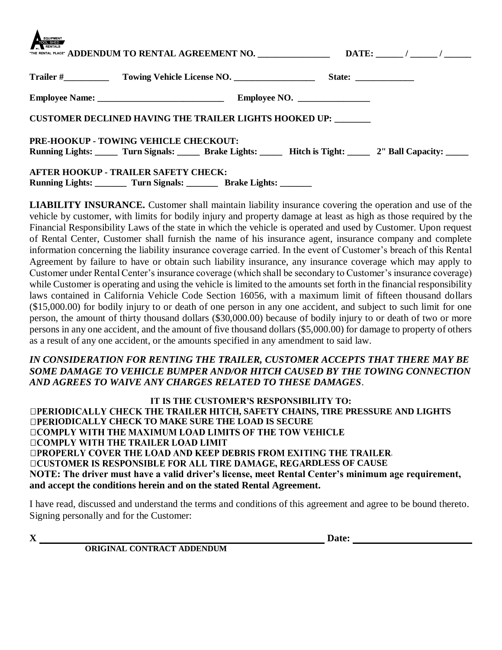| EQUIPMENT<br>TOOL SHED                                                  |  |                              |                                                                               |
|-------------------------------------------------------------------------|--|------------------------------|-------------------------------------------------------------------------------|
|                                                                         |  |                              |                                                                               |
|                                                                         |  | Employee NO. $\qquad \qquad$ |                                                                               |
| <b>CUSTOMER DECLINED HAVING THE TRAILER LIGHTS HOOKED UP:</b>           |  |                              |                                                                               |
| PRE-HOOKUP - TOWING VEHICLE CHECKOUT:                                   |  |                              |                                                                               |
|                                                                         |  |                              | Running Lights: Turn Signals: Brake Lights: Hitch is Tight: 2" Ball Capacity: |
| AFTER HOOKUP - TRAILER SAFETY CHECK:                                    |  |                              |                                                                               |
| Running Lights: _________ Turn Signals: _________ Brake Lights: _______ |  |                              |                                                                               |

**LIABILITY INSURANCE.** Customer shall maintain liability insurance covering the operation and use of the vehicle by customer, with limits for bodily injury and property damage at least as high as those required by the Financial Responsibility Laws of the state in which the vehicle is operated and used by Customer. Upon request of Rental Center, Customer shall furnish the name of his insurance agent, insurance company and complete information concerning the liability insurance coverage carried. In the event of Customer's breach of this Rental Agreement by failure to have or obtain such liability insurance, any insurance coverage which may apply to Customer under Rental Center's insurance coverage (which shall be secondary to Customer's insurance coverage) while Customer is operating and using the vehicle is limited to the amounts set forth in the financial responsibility laws contained in California Vehicle Code Section 16056, with a maximum limit of fifteen thousand dollars (\$15,000.00) for bodily injury to or death of one person in any one accident, and subject to such limit for one person, the amount of thirty thousand dollars (\$30,000.00) because of bodily injury to or death of two or more persons in any one accident, and the amount of five thousand dollars (\$5,000.00) for damage to property of others as a result of any one accident, or the amounts specified in any amendment to said law.

#### *IN CONSIDERATION FOR RENTING THE TRAILER, CUSTOMER ACCEPTS THAT THERE MAY BE SOME DAMAGE TO VEHICLE BUMPER AND/OR HITCH CAUSED BY THE TOWING CONNECTION AND AGREES TO WAIVE ANY CHARGES RELATED TO THESE DAMAGES*.

**IT IS THE CUSTOMER'S RESPONSIBILITY TO: DPERIODICALLY CHECK THE TRAILER HITCH, SAFETY CHAINS, TIRE PRESSURE AND LIGHTS ODICALLY CHECK TO MAKE SURE THE LOAD IS SECURE OCOMPLY WITH THE MAXIMUM LOAD LIMITS OF THE TOW VEHICLE DCOMPLY WITH THE TRAILER LOAD LIMIT OPROPERLY COVER THE LOAD AND KEEP DEBRIS FROM EXITING THE TRAILER. DCUSTOMER IS RESPONSIBLE FOR ALL TIRE DAMAGE, REGARDLESS OF CAUSE NOTE: The driver must have a valid driver's license, meet Rental Center's minimum age requirement, and accept the conditions herein and on the stated Rental Agreement.**

I have read, discussed and understand the terms and conditions of this agreement and agree to be bound thereto. Signing personally and for the Customer:

 $\blacktriangle$ 

 **ORIGINAL CONTRACT ADDENDUM**

**X** Date: